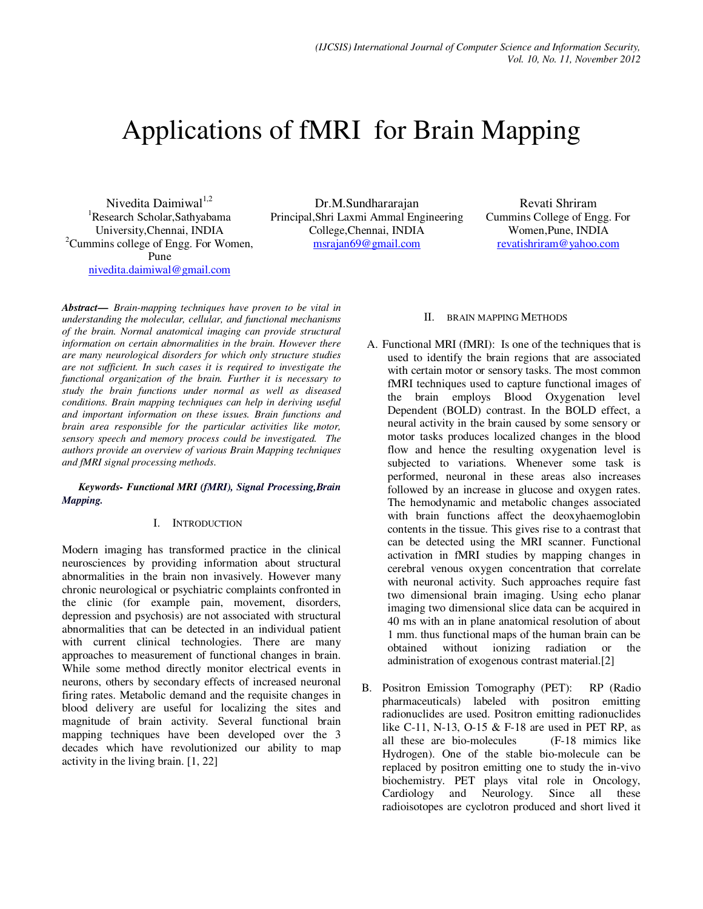# Applications of fMRI for Brain Mapping

Nivedita Daimiwal $1,2$ <sup>1</sup>Research Scholar, Sathyabama University,Chennai, INDIA  ${}^{2}$ Cummins college of Engg. For Women, Pune nivedita.daimiwal@gmail.com

Dr.M.Sundhararajan Principal,Shri Laxmi Ammal Engineering College,Chennai, INDIA msrajan69@gmail.com

Revati Shriram Cummins College of Engg. For Women,Pune, INDIA revatishriram@yahoo.com

*Abstract***—** *Brain-mapping techniques have proven to be vital in understanding the molecular, cellular, and functional mechanisms of the brain. Normal anatomical imaging can provide structural information on certain abnormalities in the brain. However there are many neurological disorders for which only structure studies are not sufficient. In such cases it is required to investigate the functional organization of the brain. Further it is necessary to study the brain functions under normal as well as diseased conditions. Brain mapping techniques can help in deriving useful and important information on these issues. Brain functions and brain area responsible for the particular activities like motor, sensory speech and memory process could be investigated. The authors provide an overview of various Brain Mapping techniques and fMRI signal processing methods*.

#### *Keywords- Functional MRI (fMRI), Signal Processing,Brain Mapping.*

## I. INTRODUCTION

Modern imaging has transformed practice in the clinical neurosciences by providing information about structural abnormalities in the brain non invasively. However many chronic neurological or psychiatric complaints confronted in the clinic (for example pain, movement, disorders, depression and psychosis) are not associated with structural abnormalities that can be detected in an individual patient with current clinical technologies. There are many approaches to measurement of functional changes in brain. While some method directly monitor electrical events in neurons, others by secondary effects of increased neuronal firing rates. Metabolic demand and the requisite changes in blood delivery are useful for localizing the sites and magnitude of brain activity. Several functional brain mapping techniques have been developed over the 3 decades which have revolutionized our ability to map activity in the living brain. [1, 22]

## II. BRAIN MAPPING METHODS

- A. Functional MRI (fMRI): Is one of the techniques that is used to identify the brain regions that are associated with certain motor or sensory tasks. The most common fMRI techniques used to capture functional images of the brain employs Blood Oxygenation level Dependent (BOLD) contrast. In the BOLD effect, a neural activity in the brain caused by some sensory or motor tasks produces localized changes in the blood flow and hence the resulting oxygenation level is subjected to variations. Whenever some task is performed, neuronal in these areas also increases followed by an increase in glucose and oxygen rates. The hemodynamic and metabolic changes associated with brain functions affect the deoxyhaemoglobin contents in the tissue. This gives rise to a contrast that can be detected using the MRI scanner. Functional activation in fMRI studies by mapping changes in cerebral venous oxygen concentration that correlate with neuronal activity. Such approaches require fast two dimensional brain imaging. Using echo planar imaging two dimensional slice data can be acquired in 40 ms with an in plane anatomical resolution of about 1 mm. thus functional maps of the human brain can be obtained without ionizing radiation or the administration of exogenous contrast material.[2]
- B. Positron Emission Tomography (PET): RP (Radio pharmaceuticals) labeled with positron emitting radionuclides are used. Positron emitting radionuclides like C-11, N-13, O-15 & F-18 are used in PET RP, as all these are bio-molecules (F-18 mimics like Hydrogen). One of the stable bio-molecule can be replaced by positron emitting one to study the in-vivo biochemistry. PET plays vital role in Oncology, Cardiology and Neurology. Since all these radioisotopes are cyclotron produced and short lived it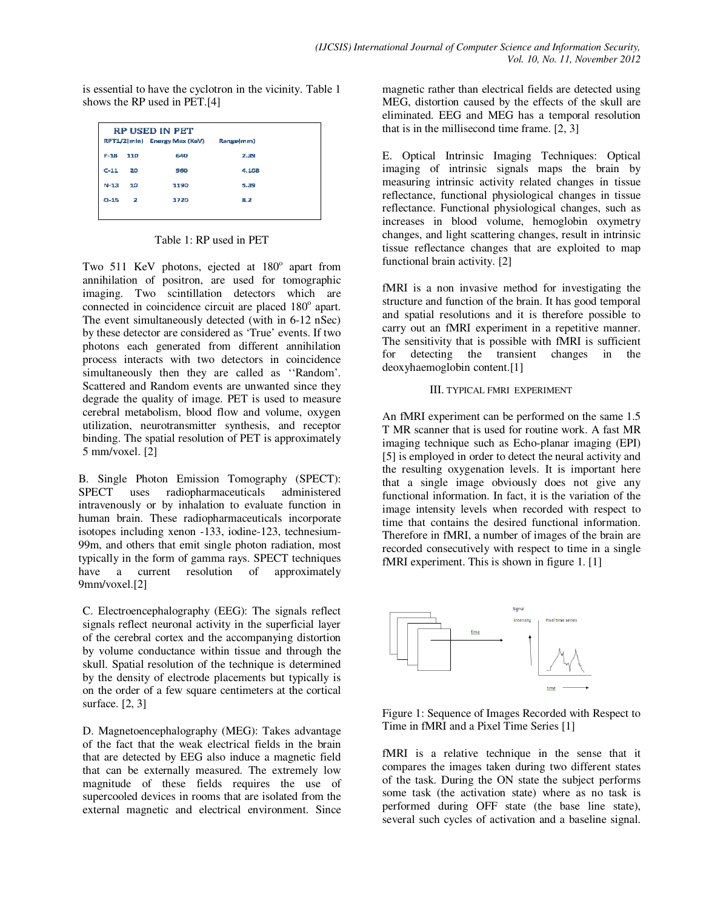is essential to have the cyclotron in the vicinity. Table 1 shows the RP used in PET.[4]

| <b>RP USED IN PET</b><br>RPT1/2(min) Energy Max (KeV)<br>Range(mm) |              |      |       |
|--------------------------------------------------------------------|--------------|------|-------|
| $F-18$                                                             | 110          | 640  | 2.39  |
| $C-11$                                                             | 20           | 960  | 4.108 |
| $N-13$                                                             | 10           | 1190 | 5.39  |
| $O-15$                                                             | $\mathbf{2}$ | 1720 | 8.2   |
|                                                                    |              |      |       |

Table 1: RP used in PET

Two 511 KeV photons, ejected at 180° apart from annihilation of positron, are used for tomographic imaging. Two scintillation detectors which are connected in coincidence circuit are placed 180° apart. The event simultaneously detected (with in 6-12 nSec) by these detector are considered as 'True' events. If two photons each generated from different annihilation process interacts with two detectors in coincidence simultaneously then they are called as ''Random'. Scattered and Random events are unwanted since they degrade the quality of image. PET is used to measure cerebral metabolism, blood flow and volume, oxygen utilization, neurotransmitter synthesis, and receptor binding. The spatial resolution of PET is approximately 5 mm/voxel. [2]

B. Single Photon Emission Tomography (SPECT): SPECT uses radiopharmaceuticals administered intravenously or by inhalation to evaluate function in human brain. These radiopharmaceuticals incorporate isotopes including xenon -133, iodine-123, technesium-99m, and others that emit single photon radiation, most typically in the form of gamma rays. SPECT techniques have a current resolution of approximately 9mm/voxel.[2]

C. Electroencephalography (EEG): The signals reflect signals reflect neuronal activity in the superficial layer of the cerebral cortex and the accompanying distortion by volume conductance within tissue and through the skull. Spatial resolution of the technique is determined by the density of electrode placements but typically is on the order of a few square centimeters at the cortical surface. [2, 3]

D. Magnetoencephalography (MEG): Takes advantage of the fact that the weak electrical fields in the brain that are detected by EEG also induce a magnetic field that can be externally measured. The extremely low magnitude of these fields requires the use of supercooled devices in rooms that are isolated from the external magnetic and electrical environment. Since magnetic rather than electrical fields are detected using MEG, distortion caused by the effects of the skull are eliminated. EEG and MEG has a temporal resolution that is in the millisecond time frame. [2, 3]

E. Optical Intrinsic Imaging Techniques: Optical imaging of intrinsic signals maps the brain by measuring intrinsic activity related changes in tissue reflectance, functional physiological changes in tissue reflectance. Functional physiological changes, such as increases in blood volume, hemoglobin oxymetry changes, and light scattering changes, result in intrinsic tissue reflectance changes that are exploited to map functional brain activity. [2]

fMRI is a non invasive method for investigating the structure and function of the brain. It has good temporal and spatial resolutions and it is therefore possible to carry out an fMRI experiment in a repetitive manner. The sensitivity that is possible with fMRI is sufficient for detecting the transient changes in the deoxyhaemoglobin content.[1]

#### III. TYPICAL FMRI EXPERIMENT

An fMRI experiment can be performed on the same 1.5 T MR scanner that is used for routine work. A fast MR imaging technique such as Echo-planar imaging (EPI) [5] is employed in order to detect the neural activity and the resulting oxygenation levels. It is important here that a single image obviously does not give any functional information. In fact, it is the variation of the image intensity levels when recorded with respect to time that contains the desired functional information. Therefore in fMRI, a number of images of the brain are recorded consecutively with respect to time in a single fMRI experiment. This is shown in figure 1. [1]



Figure 1: Sequence of Images Recorded with Respect to Time in fMRI and a Pixel Time Series [1]

fMRI is a relative technique in the sense that it compares the images taken during two different states of the task. During the ON state the subject performs some task (the activation state) where as no task is performed during OFF state (the base line state), several such cycles of activation and a baseline signal.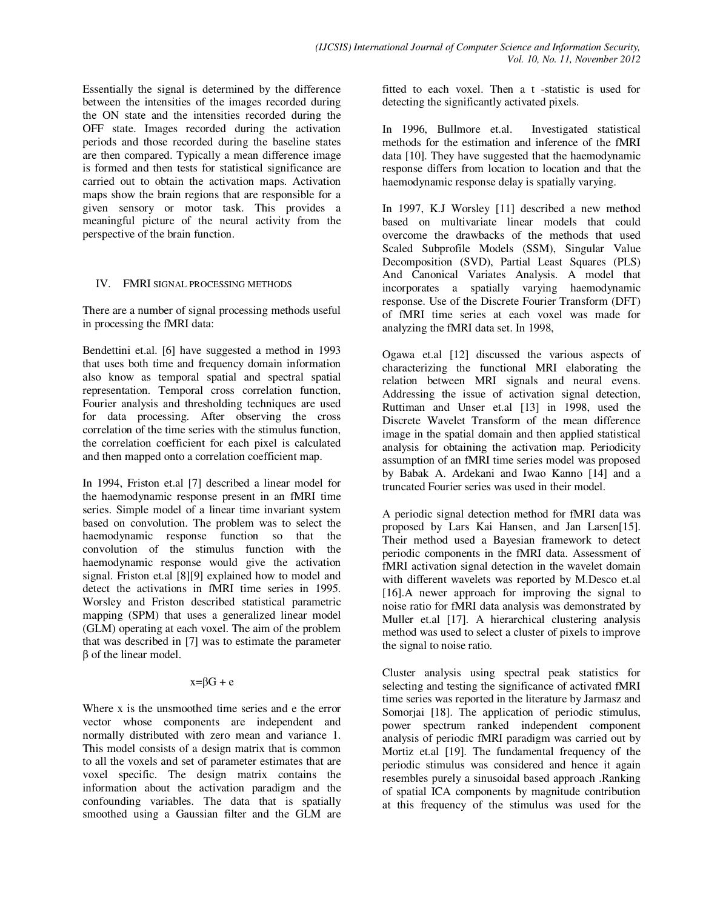Essentially the signal is determined by the difference between the intensities of the images recorded during the ON state and the intensities recorded during the OFF state. Images recorded during the activation periods and those recorded during the baseline states are then compared. Typically a mean difference image is formed and then tests for statistical significance are carried out to obtain the activation maps. Activation maps show the brain regions that are responsible for a given sensory or motor task. This provides a meaningful picture of the neural activity from the perspective of the brain function.

#### IV. FMRI SIGNAL PROCESSING METHODS

There are a number of signal processing methods useful in processing the fMRI data:

Bendettini et.al. [6] have suggested a method in 1993 that uses both time and frequency domain information also know as temporal spatial and spectral spatial representation. Temporal cross correlation function, Fourier analysis and thresholding techniques are used for data processing. After observing the cross correlation of the time series with the stimulus function, the correlation coefficient for each pixel is calculated and then mapped onto a correlation coefficient map.

In 1994, Friston et.al [7] described a linear model for the haemodynamic response present in an fMRI time series. Simple model of a linear time invariant system based on convolution. The problem was to select the haemodynamic response function so that the convolution of the stimulus function with the haemodynamic response would give the activation signal. Friston et.al [8][9] explained how to model and detect the activations in fMRI time series in 1995. Worsley and Friston described statistical parametric mapping (SPM) that uses a generalized linear model (GLM) operating at each voxel. The aim of the problem that was described in [7] was to estimate the parameter β of the linear model.

#### $x = \beta G + e$

Where x is the unsmoothed time series and e the error vector whose components are independent and normally distributed with zero mean and variance 1. This model consists of a design matrix that is common to all the voxels and set of parameter estimates that are voxel specific. The design matrix contains the information about the activation paradigm and the confounding variables. The data that is spatially smoothed using a Gaussian filter and the GLM are

fitted to each voxel. Then a t -statistic is used for detecting the significantly activated pixels.

In 1996, Bullmore et.al. Investigated statistical methods for the estimation and inference of the fMRI data [10]. They have suggested that the haemodynamic response differs from location to location and that the haemodynamic response delay is spatially varying.

In 1997, K.J Worsley [11] described a new method based on multivariate linear models that could overcome the drawbacks of the methods that used Scaled Subprofile Models (SSM), Singular Value Decomposition (SVD), Partial Least Squares (PLS) And Canonical Variates Analysis. A model that incorporates a spatially varying haemodynamic response. Use of the Discrete Fourier Transform (DFT) of fMRI time series at each voxel was made for analyzing the fMRI data set. In 1998,

Ogawa et.al [12] discussed the various aspects of characterizing the functional MRI elaborating the relation between MRI signals and neural evens. Addressing the issue of activation signal detection, Ruttiman and Unser et.al [13] in 1998, used the Discrete Wavelet Transform of the mean difference image in the spatial domain and then applied statistical analysis for obtaining the activation map. Periodicity assumption of an fMRI time series model was proposed by Babak A. Ardekani and Iwao Kanno [14] and a truncated Fourier series was used in their model.

A periodic signal detection method for fMRI data was proposed by Lars Kai Hansen, and Jan Larsen[15]. Their method used a Bayesian framework to detect periodic components in the fMRI data. Assessment of fMRI activation signal detection in the wavelet domain with different wavelets was reported by M.Desco et.al [16].A newer approach for improving the signal to noise ratio for fMRI data analysis was demonstrated by Muller et.al [17]. A hierarchical clustering analysis method was used to select a cluster of pixels to improve the signal to noise ratio.

Cluster analysis using spectral peak statistics for selecting and testing the significance of activated fMRI time series was reported in the literature by Jarmasz and Somorjai [18]. The application of periodic stimulus, power spectrum ranked independent component analysis of periodic fMRI paradigm was carried out by Mortiz et.al [19]. The fundamental frequency of the periodic stimulus was considered and hence it again resembles purely a sinusoidal based approach .Ranking of spatial ICA components by magnitude contribution at this frequency of the stimulus was used for the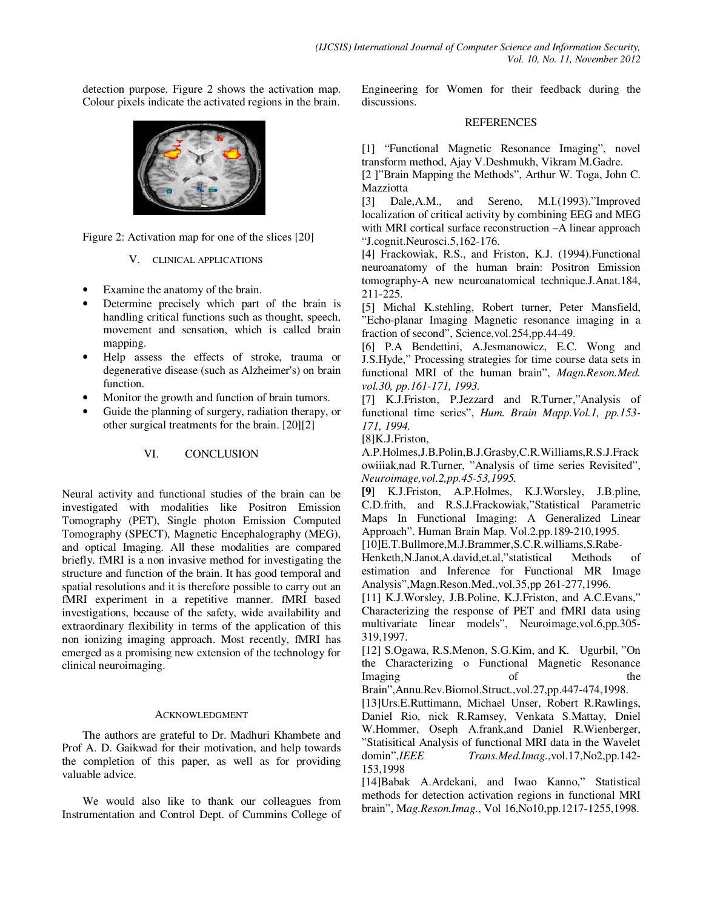detection purpose. Figure 2 shows the activation map. Colour pixels indicate the activated regions in the brain.



Figure 2: Activation map for one of the slices [20]

V. CLINICAL APPLICATIONS

- Examine the anatomy of the brain.
- Determine precisely which part of the brain is handling critical functions such as thought, speech, movement and sensation, which is called brain mapping.
- Help assess the effects of stroke, trauma or degenerative disease (such as Alzheimer's) on brain function.
- Monitor the growth and function of brain tumors.
- Guide the planning of surgery, radiation therapy, or other surgical treatments for the brain. [20][2]

## VI. CONCLUSION

Neural activity and functional studies of the brain can be investigated with modalities like Positron Emission Tomography (PET), Single photon Emission Computed Tomography (SPECT), Magnetic Encephalography (MEG), and optical Imaging. All these modalities are compared briefly. fMRI is a non invasive method for investigating the structure and function of the brain. It has good temporal and spatial resolutions and it is therefore possible to carry out an fMRI experiment in a repetitive manner. fMRI based investigations, because of the safety, wide availability and extraordinary flexibility in terms of the application of this non ionizing imaging approach. Most recently, fMRI has emerged as a promising new extension of the technology for clinical neuroimaging.

## ACKNOWLEDGMENT

 The authors are grateful to Dr. Madhuri Khambete and Prof A. D. Gaikwad for their motivation, and help towards the completion of this paper, as well as for providing valuable advice.

 We would also like to thank our colleagues from Instrumentation and Control Dept. of Cummins College of Engineering for Women for their feedback during the discussions.

### REFERENCES

[1] "Functional Magnetic Resonance Imaging", novel transform method, Ajay V.Deshmukh, Vikram M.Gadre.

[2 ]"Brain Mapping the Methods", Arthur W. Toga, John C.

Mazziotta<br>[3] Dale, A.M., [3] Dale, A.M., and Sereno, M.I. (1993)."Improved localization of critical activity by combining EEG and MEG with MRI cortical surface reconstruction –A linear approach "J.cognit.Neurosci.5,162-176.

[4] Frackowiak, R.S., and Friston, K.J. (1994). Functional neuroanatomy of the human brain: Positron Emission tomography-A new neuroanatomical technique.J.Anat.184, 211-225.

[5] Michal K.stehling, Robert turner, Peter Mansfield, "Echo-planar Imaging Magnetic resonance imaging in a fraction of second", Science,vol.254,pp.44-49.

[6] P.A Bendettini, A.Jesmanowicz, E.C. Wong and J.S.Hyde," Processing strategies for time course data sets in functional MRI of the human brain", *Magn.Reson.Med. vol.30, pp.161-171, 1993.* 

[7] K.J.Friston, P.Jezzard and R.Turner,"Analysis of functional time series", *Hum. Brain Mapp.Vol.1, pp.153- 171, 1994.* 

[8]K.J.Friston,

A.P.Holmes,J.B.Polin,B.J.Grasby,C.R.Williams,R.S.J.Frack owiiiak,nad R.Turner, "Analysis of time series Revisited", *Neuroimage,vol.2,pp.45-53,1995.* 

**[9**] K.J.Friston, A.P.Holmes, K.J.Worsley, J.B.pline, C.D.frith, and R.S.J.Frackowiak,"Statistical Parametric Maps In Functional Imaging: A Generalized Linear Approach". Human Brain Map. Vol.2.pp.189-210,1995.

[10]E.T.Bullmore,M.J.Brammer,S.C.R.williams,S.Rabe-

Henketh,N.Janot,A.david,et.al,"statistical Methods of estimation and Inference for Functional MR Image Analysis",Magn.Reson.Med.,vol.35,pp 261-277,1996.

[11] K.J.Worsley, J.B.Poline, K.J.Friston, and A.C.Evans," Characterizing the response of PET and fMRI data using multivariate linear models", Neuroimage,vol.6,pp.305- 319,1997.

[12] S.Ogawa, R.S.Menon, S.G.Kim, and K. Ugurbil, "On the Characterizing o Functional Magnetic Resonance Imaging of the

Brain",Annu.Rev.Biomol.Struct.,vol.27,pp.447-474,1998.

[13]Urs.E.Ruttimann, Michael Unser, Robert R.Rawlings, Daniel Rio, nick R.Ramsey, Venkata S.Mattay, Dniel W.Hommer, Oseph A.frank,and Daniel R.Wienberger, "Statisitical Analysis of functional MRI data in the Wavelet domin",*IEEE Trans.Med.Imag.*,vol.17,No2,pp.142- 153,1998

[14]Babak A.Ardekani, and Iwao Kanno," Statistical methods for detection activation regions in functional MRI brain", M*ag.Reson.Imag*., Vol 16,No10,pp.1217-1255,1998.